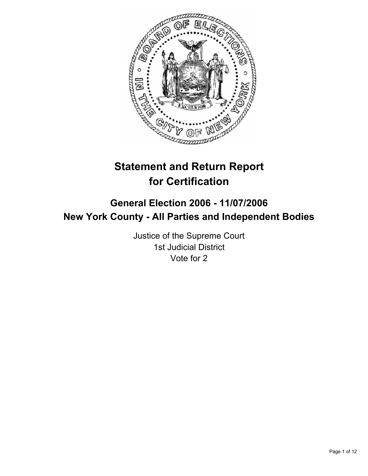

# **Statement and Return Report for Certification**

## **General Election 2006 - 11/07/2006 New York County - All Parties and Independent Bodies**

Justice of the Supreme Court 1st Judicial District Vote for 2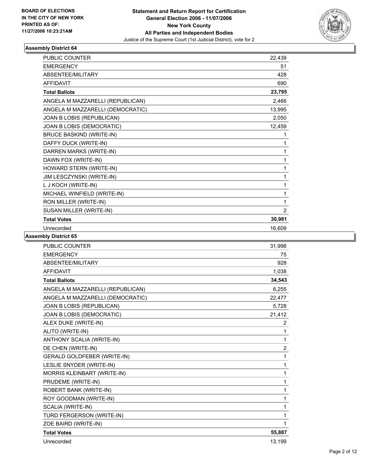

| <b>PUBLIC COUNTER</b>            | 22,439 |  |
|----------------------------------|--------|--|
| <b>EMERGENCY</b>                 | 51     |  |
| ABSENTEE/MILITARY                | 428    |  |
| <b>AFFIDAVIT</b>                 | 690    |  |
| <b>Total Ballots</b>             | 23,795 |  |
| ANGELA M MAZZARELLI (REPUBLICAN) | 2,466  |  |
| ANGELA M MAZZARELLI (DEMOCRATIC) | 13,995 |  |
| JOAN B LOBIS (REPUBLICAN)        | 2,050  |  |
| JOAN B LOBIS (DEMOCRATIC)        | 12,459 |  |
| <b>BRUCE BASKIND (WRITE-IN)</b>  |        |  |
| DAFFY DUCK (WRITE-IN)            |        |  |
| DARREN MARKS (WRITE-IN)          | 1      |  |
| DAWN FOX (WRITE-IN)              |        |  |
| HOWARD STERN (WRITE-IN)          | 1      |  |
| JIM LESCZYNSKI (WRITE-IN)        |        |  |
| L J KOCH (WRITE-IN)              |        |  |
| MICHAEL WINFIELD (WRITE-IN)      |        |  |
| RON MILLER (WRITE-IN)            | 1      |  |
| SUSAN MILLER (WRITE-IN)          | 2      |  |
| <b>Total Votes</b>               | 30,981 |  |
| Unrecorded                       | 16,609 |  |

| <b>PUBLIC COUNTER</b>              | 31,998         |
|------------------------------------|----------------|
| <b>EMERGENCY</b>                   | 75             |
| ABSENTEE/MILITARY                  | 928            |
| <b>AFFIDAVIT</b>                   | 1,038          |
| <b>Total Ballots</b>               | 34,543         |
| ANGELA M MAZZARELLI (REPUBLICAN)   | 6.255          |
| ANGELA M MAZZARELLI (DEMOCRATIC)   | 22,477         |
| JOAN B LOBIS (REPUBLICAN)          | 5,728          |
| JOAN B LOBIS (DEMOCRATIC)          | 21,412         |
| ALEX DUKE (WRITE-IN)               | $\overline{2}$ |
| ALITO (WRITE-IN)                   | 1              |
| ANTHONY SCALIA (WRITE-IN)          | 1              |
| DE CHEN (WRITE-IN)                 | $\overline{c}$ |
| <b>GERALD GOLDFEBER (WRITE-IN)</b> | 1              |
| LESLIE SNYDER (WRITE-IN)           | 1              |
| MORRIS KLEINBART (WRITE-IN)        | 1              |
| PRUDEME (WRITE-IN)                 | 1              |
| ROBERT BANK (WRITE-IN)             | 1              |
| ROY GOODMAN (WRITE-IN)             | 1              |
| SCALIA (WRITE-IN)                  | 1              |
| TURD FERGERSON (WRITE-IN)          | 1              |
| ZOE BAIRD (WRITE-IN)               |                |
| <b>Total Votes</b>                 | 55,887         |
| Unrecorded                         | 13,199         |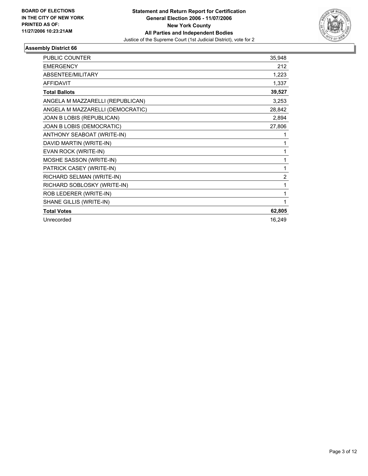

| <b>PUBLIC COUNTER</b>            | 35,948         |
|----------------------------------|----------------|
| <b>EMERGENCY</b>                 | 212            |
| <b>ABSENTEE/MILITARY</b>         | 1,223          |
| <b>AFFIDAVIT</b>                 | 1,337          |
| <b>Total Ballots</b>             | 39,527         |
| ANGELA M MAZZARELLI (REPUBLICAN) | 3,253          |
| ANGELA M MAZZARELLI (DEMOCRATIC) | 28,842         |
| JOAN B LOBIS (REPUBLICAN)        | 2,894          |
| JOAN B LOBIS (DEMOCRATIC)        | 27,806         |
| ANTHONY SEABOAT (WRITE-IN)       |                |
| DAVID MARTIN (WRITE-IN)          |                |
| EVAN ROCK (WRITE-IN)             |                |
| MOSHE SASSON (WRITE-IN)          |                |
| PATRICK CASEY (WRITE-IN)         | 1              |
| RICHARD SELMAN (WRITE-IN)        | $\overline{2}$ |
| RICHARD SOBLOSKY (WRITE-IN)      |                |
| ROB LEDERER (WRITE-IN)           |                |
| SHANE GILLIS (WRITE-IN)          |                |
| <b>Total Votes</b>               | 62,805         |
| Unrecorded                       | 16,249         |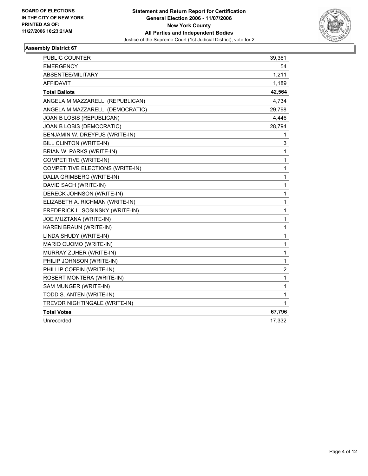

| PUBLIC COUNTER                          | 39,361                  |
|-----------------------------------------|-------------------------|
| <b>EMERGENCY</b>                        | 54                      |
| <b>ABSENTEE/MILITARY</b>                | 1,211                   |
| <b>AFFIDAVIT</b>                        | 1,189                   |
| <b>Total Ballots</b>                    | 42,564                  |
| ANGELA M MAZZARELLI (REPUBLICAN)        | 4,734                   |
| ANGELA M MAZZARELLI (DEMOCRATIC)        | 29,798                  |
| JOAN B LOBIS (REPUBLICAN)               | 4,446                   |
| JOAN B LOBIS (DEMOCRATIC)               | 28,794                  |
| BENJAMIN W. DREYFUS (WRITE-IN)          | 1                       |
| BILL CLINTON (WRITE-IN)                 | 3                       |
| BRIAN W. PARKS (WRITE-IN)               | 1                       |
| COMPETITIVE (WRITE-IN)                  | 1                       |
| <b>COMPETITIVE ELECTIONS (WRITE-IN)</b> | 1                       |
| DALIA GRIMBERG (WRITE-IN)               | 1                       |
| DAVID SACH (WRITE-IN)                   | 1                       |
| DERECK JOHNSON (WRITE-IN)               | 1                       |
| ELIZABETH A. RICHMAN (WRITE-IN)         | 1                       |
| FREDERICK L. SOSINSKY (WRITE-IN)        | 1                       |
| JOE MUZTANA (WRITE-IN)                  | 1                       |
| KAREN BRAUN (WRITE-IN)                  | 1                       |
| LINDA SHUDY (WRITE-IN)                  | 1                       |
| MARIO CUOMO (WRITE-IN)                  | 1                       |
| MURRAY ZUHER (WRITE-IN)                 | $\mathbf{1}$            |
| PHILIP JOHNSON (WRITE-IN)               | 1                       |
| PHILLIP COFFIN (WRITE-IN)               | $\overline{\mathbf{c}}$ |
| ROBERT MONTERA (WRITE-IN)               | 1                       |
| SAM MUNGER (WRITE-IN)                   | 1                       |
| TODD S. ANTEN (WRITE-IN)                | 1                       |
| TREVOR NIGHTINGALE (WRITE-IN)           | 1                       |
| <b>Total Votes</b>                      | 67,796                  |
| Unrecorded                              | 17,332                  |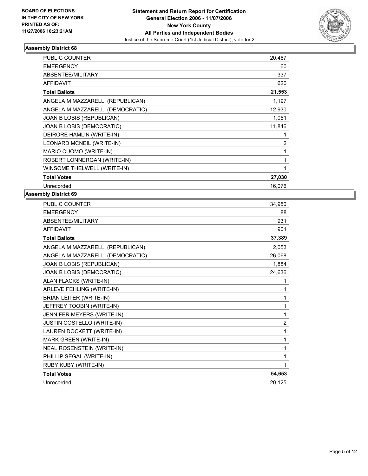

| <b>PUBLIC COUNTER</b>            | 20,467 |
|----------------------------------|--------|
| <b>EMERGENCY</b>                 | 60     |
| <b>ABSENTEE/MILITARY</b>         | 337    |
| <b>AFFIDAVIT</b>                 | 620    |
| <b>Total Ballots</b>             | 21,553 |
| ANGELA M MAZZARELLI (REPUBLICAN) | 1,197  |
| ANGELA M MAZZARELLI (DEMOCRATIC) | 12,930 |
| JOAN B LOBIS (REPUBLICAN)        | 1,051  |
| JOAN B LOBIS (DEMOCRATIC)        | 11,846 |
| DEIRORE HAMLIN (WRITE-IN)        |        |
| LEONARD MCNEIL (WRITE-IN)        | 2      |
| MARIO CUOMO (WRITE-IN)           |        |
| ROBERT LONNERGAN (WRITE-IN)      |        |
| WINSOME THELWELL (WRITE-IN)      |        |
| <b>Total Votes</b>               | 27,030 |
| Unrecorded                       | 16.076 |

| PUBLIC COUNTER                   | 34,950 |
|----------------------------------|--------|
| <b>EMERGENCY</b>                 | 88     |
| ABSENTEE/MILITARY                | 931    |
| <b>AFFIDAVIT</b>                 | 901    |
| <b>Total Ballots</b>             | 37,389 |
| ANGELA M MAZZARELLI (REPUBLICAN) | 2,053  |
| ANGELA M MAZZARELLI (DEMOCRATIC) | 26,068 |
| JOAN B LOBIS (REPUBLICAN)        | 1,884  |
| JOAN B LOBIS (DEMOCRATIC)        | 24,636 |
| ALAN FLACKS (WRITE-IN)           |        |
| ARLEVE FEHLING (WRITE-IN)        | 1      |
| BRIAN LEITER (WRITE-IN)          | 1      |
| JEFFREY TOOBIN (WRITE-IN)        | 1      |
| JENNIFER MEYERS (WRITE-IN)       | 1      |
| JUSTIN COSTELLO (WRITE-IN)       | 2      |
| LAUREN DOCKETT (WRITE-IN)        | 1      |
| MARK GREEN (WRITE-IN)            |        |
| NEAL ROSENSTEIN (WRITE-IN)       |        |
| PHILLIP SEGAL (WRITE-IN)         |        |
| RUBY KUBY (WRITE-IN)             |        |
| <b>Total Votes</b>               | 54,653 |
| Unrecorded                       | 20,125 |
|                                  |        |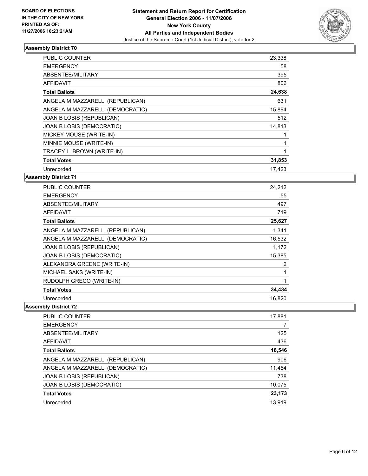

| <b>PUBLIC COUNTER</b>            | 23,338 |
|----------------------------------|--------|
| <b>EMERGENCY</b>                 | 58     |
| ABSENTEE/MILITARY                | 395    |
| AFFIDAVIT                        | 806    |
| <b>Total Ballots</b>             | 24,638 |
| ANGELA M MAZZARELLI (REPUBLICAN) | 631    |
| ANGELA M MAZZARELLI (DEMOCRATIC) | 15,894 |
| JOAN B LOBIS (REPUBLICAN)        | 512    |
| JOAN B LOBIS (DEMOCRATIC)        | 14,813 |
| MICKEY MOUSE (WRITE-IN)          |        |
| MINNIE MOUSE (WRITE-IN)          |        |
| TRACEY L. BROWN (WRITE-IN)       |        |
| <b>Total Votes</b>               | 31,853 |
| Unrecorded                       | 17,423 |

**Assembly District 71**

| PUBLIC COUNTER                   | 24,212 |
|----------------------------------|--------|
| <b>EMERGENCY</b>                 | 55     |
| ABSENTEE/MILITARY                | 497    |
| AFFIDAVIT                        | 719    |
| <b>Total Ballots</b>             | 25,627 |
| ANGELA M MAZZARELLI (REPUBLICAN) | 1.341  |
| ANGELA M MAZZARELLI (DEMOCRATIC) | 16,532 |
| JOAN B LOBIS (REPUBLICAN)        | 1,172  |
| JOAN B LOBIS (DEMOCRATIC)        | 15,385 |
| ALEXANDRA GREENE (WRITE-IN)      | 2      |
| MICHAEL SAKS (WRITE-IN)          |        |
| RUDOLPH GRECO (WRITE-IN)         |        |
| <b>Total Votes</b>               | 34,434 |
| Unrecorded                       | 16,820 |

| <b>PUBLIC COUNTER</b>            | 17,881 |
|----------------------------------|--------|
| <b>EMERGENCY</b>                 |        |
| ABSENTEE/MILITARY                | 125    |
| AFFIDAVIT                        | 436    |
| <b>Total Ballots</b>             | 18,546 |
| ANGELA M MAZZARELLI (REPUBLICAN) | 906    |
| ANGELA M MAZZARELLI (DEMOCRATIC) | 11,454 |
| JOAN B LOBIS (REPUBLICAN)        | 738    |
| JOAN B LOBIS (DEMOCRATIC)        | 10,075 |
| <b>Total Votes</b>               | 23,173 |
| Unrecorded                       | 13,919 |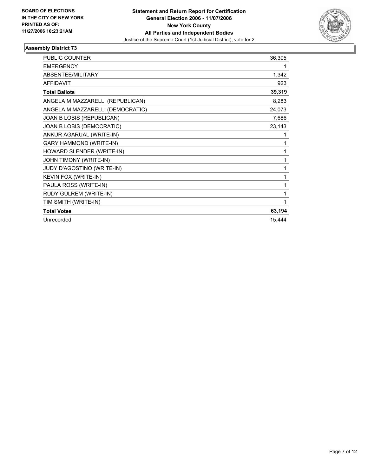

| <b>PUBLIC COUNTER</b>            | 36,305 |
|----------------------------------|--------|
| <b>EMERGENCY</b>                 |        |
| ABSENTEE/MILITARY                | 1,342  |
| <b>AFFIDAVIT</b>                 | 923    |
| <b>Total Ballots</b>             | 39,319 |
| ANGELA M MAZZARELLI (REPUBLICAN) | 8,283  |
| ANGELA M MAZZARELLI (DEMOCRATIC) | 24,073 |
| JOAN B LOBIS (REPUBLICAN)        | 7,686  |
| JOAN B LOBIS (DEMOCRATIC)        | 23,143 |
| ANKUR AGARUAL (WRITE-IN)         |        |
| <b>GARY HAMMOND (WRITE-IN)</b>   |        |
| HOWARD SLENDER (WRITE-IN)        |        |
| JOHN TIMONY (WRITE-IN)           |        |
| JUDY D'AGOSTINO (WRITE-IN)       | 1      |
| KEVIN FOX (WRITE-IN)             |        |
| PAULA ROSS (WRITE-IN)            |        |
| RUDY GULREM (WRITE-IN)           |        |
| TIM SMITH (WRITE-IN)             |        |
| <b>Total Votes</b>               | 63,194 |
| Unrecorded                       | 15,444 |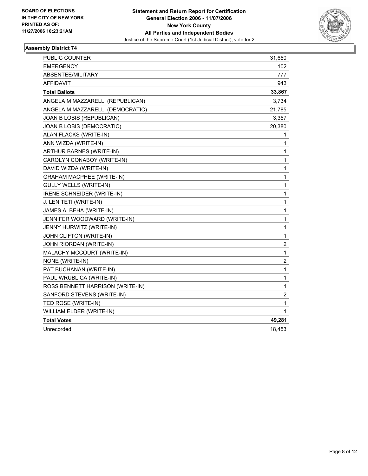

| PUBLIC COUNTER                   | 31,650           |
|----------------------------------|------------------|
| <b>EMERGENCY</b>                 | 102              |
| ABSENTEE/MILITARY                | 777              |
| <b>AFFIDAVIT</b>                 | 943              |
| <b>Total Ballots</b>             | 33,867           |
| ANGELA M MAZZARELLI (REPUBLICAN) | 3,734            |
| ANGELA M MAZZARELLI (DEMOCRATIC) | 21,785           |
| JOAN B LOBIS (REPUBLICAN)        | 3,357            |
| JOAN B LOBIS (DEMOCRATIC)        | 20,380           |
| ALAN FLACKS (WRITE-IN)           | 1                |
| ANN WIZDA (WRITE-IN)             | 1                |
| ARTHUR BARNES (WRITE-IN)         | 1                |
| CAROLYN CONABOY (WRITE-IN)       | 1                |
| DAVID WIZDA (WRITE-IN)           | 1                |
| <b>GRAHAM MACPHEE (WRITE-IN)</b> | 1                |
| <b>GULLY WELLS (WRITE-IN)</b>    | 1                |
| IRENE SCHNEIDER (WRITE-IN)       | 1                |
| J. LEN TETI (WRITE-IN)           | 1                |
| JAMES A. BEHA (WRITE-IN)         | 1                |
| JENNIFER WOODWARD (WRITE-IN)     | 1                |
| JENNY HURWITZ (WRITE-IN)         | 1                |
| JOHN CLIFTON (WRITE-IN)          | 1                |
| JOHN RIORDAN (WRITE-IN)          | $\boldsymbol{2}$ |
| MALACHY MCCOURT (WRITE-IN)       | $\mathbf{1}$     |
| NONE (WRITE-IN)                  | 2                |
| PAT BUCHANAN (WRITE-IN)          | $\mathbf{1}$     |
| PAUL WRUBLICA (WRITE-IN)         | 1                |
| ROSS BENNETT HARRISON (WRITE-IN) | $\mathbf{1}$     |
| SANFORD STEVENS (WRITE-IN)       | $\boldsymbol{2}$ |
| TED ROSE (WRITE-IN)              | 1                |
| WILLIAM ELDER (WRITE-IN)         | 1                |
| <b>Total Votes</b>               | 49,281           |
| Unrecorded                       | 18,453           |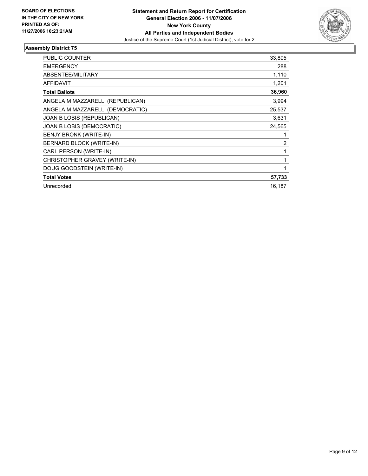

| <b>PUBLIC COUNTER</b>            | 33,805 |
|----------------------------------|--------|
| <b>EMERGENCY</b>                 | 288    |
| <b>ABSENTEE/MILITARY</b>         | 1,110  |
| <b>AFFIDAVIT</b>                 | 1,201  |
| <b>Total Ballots</b>             | 36,960 |
| ANGELA M MAZZARELLI (REPUBLICAN) | 3,994  |
| ANGELA M MAZZARELLI (DEMOCRATIC) | 25,537 |
| JOAN B LOBIS (REPUBLICAN)        | 3,631  |
| JOAN B LOBIS (DEMOCRATIC)        | 24,565 |
| BENJY BRONK (WRITE-IN)           |        |
| BERNARD BLOCK (WRITE-IN)         | 2      |
| CARL PERSON (WRITE-IN)           |        |
| CHRISTOPHER GRAVEY (WRITE-IN)    |        |
| DOUG GOODSTEIN (WRITE-IN)        |        |
| <b>Total Votes</b>               | 57,733 |
| Unrecorded                       | 16,187 |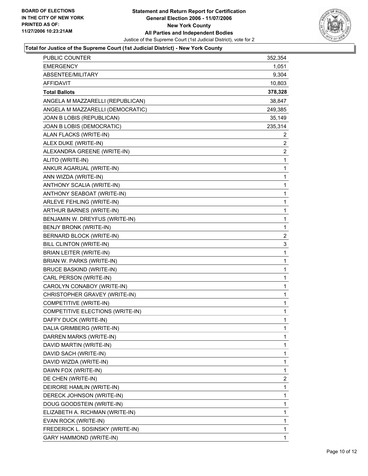

## **Total for Justice of the Supreme Court (1st Judicial District) - New York County**

| <b>EMERGENCY</b><br>1,051<br>ABSENTEE/MILITARY<br>9,304<br>10,803<br><b>AFFIDAVIT</b><br><b>Total Ballots</b><br>378,328<br>ANGELA M MAZZARELLI (REPUBLICAN)<br>38,847<br>ANGELA M MAZZARELLI (DEMOCRATIC)<br>249,385<br>35,149<br>JOAN B LOBIS (REPUBLICAN)<br>235,314<br>JOAN B LOBIS (DEMOCRATIC)<br>ALAN FLACKS (WRITE-IN)<br>2<br>$\overline{c}$<br>ALEX DUKE (WRITE-IN)<br>$\overline{c}$<br>ALEXANDRA GREENE (WRITE-IN)<br>$\mathbf 1$<br>ALITO (WRITE-IN)<br>ANKUR AGARUAL (WRITE-IN)<br>1<br>1<br>ANN WIZDA (WRITE-IN)<br>1<br>ANTHONY SCALIA (WRITE-IN)<br>1<br>ANTHONY SEABOAT (WRITE-IN)<br>1<br>ARLEVE FEHLING (WRITE-IN)<br>ARTHUR BARNES (WRITE-IN)<br>1<br>BENJAMIN W. DREYFUS (WRITE-IN)<br>1<br>1<br>BENJY BRONK (WRITE-IN)<br>$\overline{\mathbf{c}}$<br>BERNARD BLOCK (WRITE-IN)<br>3<br>BILL CLINTON (WRITE-IN)<br>1<br>BRIAN LEITER (WRITE-IN)<br>BRIAN W. PARKS (WRITE-IN)<br>1<br>1<br><b>BRUCE BASKIND (WRITE-IN)</b><br>1<br>CARL PERSON (WRITE-IN)<br>1<br>CAROLYN CONABOY (WRITE-IN)<br>CHRISTOPHER GRAVEY (WRITE-IN)<br>1<br>1<br>COMPETITIVE (WRITE-IN)<br>COMPETITIVE ELECTIONS (WRITE-IN)<br>1<br>DAFFY DUCK (WRITE-IN)<br>1<br>DALIA GRIMBERG (WRITE-IN)<br>1<br>DARREN MARKS (WRITE-IN)<br>1<br>1<br>DAVID MARTIN (WRITE-IN)<br>1<br>DAVID SACH (WRITE-IN)<br>1<br>DAVID WIZDA (WRITE-IN)<br>$\mathbf{1}$<br>DAWN FOX (WRITE-IN)<br>$\overline{c}$<br>DE CHEN (WRITE-IN)<br>DEIRORE HAMLIN (WRITE-IN)<br>1<br>1<br>DERECK JOHNSON (WRITE-IN)<br>1<br>DOUG GOODSTEIN (WRITE-IN)<br>1<br>ELIZABETH A. RICHMAN (WRITE-IN)<br>1<br>EVAN ROCK (WRITE-IN)<br>1<br>FREDERICK L. SOSINSKY (WRITE-IN)<br><b>GARY HAMMOND (WRITE-IN)</b><br>1 | PUBLIC COUNTER | 352,354 |
|-----------------------------------------------------------------------------------------------------------------------------------------------------------------------------------------------------------------------------------------------------------------------------------------------------------------------------------------------------------------------------------------------------------------------------------------------------------------------------------------------------------------------------------------------------------------------------------------------------------------------------------------------------------------------------------------------------------------------------------------------------------------------------------------------------------------------------------------------------------------------------------------------------------------------------------------------------------------------------------------------------------------------------------------------------------------------------------------------------------------------------------------------------------------------------------------------------------------------------------------------------------------------------------------------------------------------------------------------------------------------------------------------------------------------------------------------------------------------------------------------------------------------------------------------------------------------------------------------------------------------------------------------------------------------|----------------|---------|
|                                                                                                                                                                                                                                                                                                                                                                                                                                                                                                                                                                                                                                                                                                                                                                                                                                                                                                                                                                                                                                                                                                                                                                                                                                                                                                                                                                                                                                                                                                                                                                                                                                                                       |                |         |
|                                                                                                                                                                                                                                                                                                                                                                                                                                                                                                                                                                                                                                                                                                                                                                                                                                                                                                                                                                                                                                                                                                                                                                                                                                                                                                                                                                                                                                                                                                                                                                                                                                                                       |                |         |
|                                                                                                                                                                                                                                                                                                                                                                                                                                                                                                                                                                                                                                                                                                                                                                                                                                                                                                                                                                                                                                                                                                                                                                                                                                                                                                                                                                                                                                                                                                                                                                                                                                                                       |                |         |
|                                                                                                                                                                                                                                                                                                                                                                                                                                                                                                                                                                                                                                                                                                                                                                                                                                                                                                                                                                                                                                                                                                                                                                                                                                                                                                                                                                                                                                                                                                                                                                                                                                                                       |                |         |
|                                                                                                                                                                                                                                                                                                                                                                                                                                                                                                                                                                                                                                                                                                                                                                                                                                                                                                                                                                                                                                                                                                                                                                                                                                                                                                                                                                                                                                                                                                                                                                                                                                                                       |                |         |
|                                                                                                                                                                                                                                                                                                                                                                                                                                                                                                                                                                                                                                                                                                                                                                                                                                                                                                                                                                                                                                                                                                                                                                                                                                                                                                                                                                                                                                                                                                                                                                                                                                                                       |                |         |
|                                                                                                                                                                                                                                                                                                                                                                                                                                                                                                                                                                                                                                                                                                                                                                                                                                                                                                                                                                                                                                                                                                                                                                                                                                                                                                                                                                                                                                                                                                                                                                                                                                                                       |                |         |
|                                                                                                                                                                                                                                                                                                                                                                                                                                                                                                                                                                                                                                                                                                                                                                                                                                                                                                                                                                                                                                                                                                                                                                                                                                                                                                                                                                                                                                                                                                                                                                                                                                                                       |                |         |
|                                                                                                                                                                                                                                                                                                                                                                                                                                                                                                                                                                                                                                                                                                                                                                                                                                                                                                                                                                                                                                                                                                                                                                                                                                                                                                                                                                                                                                                                                                                                                                                                                                                                       |                |         |
|                                                                                                                                                                                                                                                                                                                                                                                                                                                                                                                                                                                                                                                                                                                                                                                                                                                                                                                                                                                                                                                                                                                                                                                                                                                                                                                                                                                                                                                                                                                                                                                                                                                                       |                |         |
|                                                                                                                                                                                                                                                                                                                                                                                                                                                                                                                                                                                                                                                                                                                                                                                                                                                                                                                                                                                                                                                                                                                                                                                                                                                                                                                                                                                                                                                                                                                                                                                                                                                                       |                |         |
|                                                                                                                                                                                                                                                                                                                                                                                                                                                                                                                                                                                                                                                                                                                                                                                                                                                                                                                                                                                                                                                                                                                                                                                                                                                                                                                                                                                                                                                                                                                                                                                                                                                                       |                |         |
|                                                                                                                                                                                                                                                                                                                                                                                                                                                                                                                                                                                                                                                                                                                                                                                                                                                                                                                                                                                                                                                                                                                                                                                                                                                                                                                                                                                                                                                                                                                                                                                                                                                                       |                |         |
|                                                                                                                                                                                                                                                                                                                                                                                                                                                                                                                                                                                                                                                                                                                                                                                                                                                                                                                                                                                                                                                                                                                                                                                                                                                                                                                                                                                                                                                                                                                                                                                                                                                                       |                |         |
|                                                                                                                                                                                                                                                                                                                                                                                                                                                                                                                                                                                                                                                                                                                                                                                                                                                                                                                                                                                                                                                                                                                                                                                                                                                                                                                                                                                                                                                                                                                                                                                                                                                                       |                |         |
|                                                                                                                                                                                                                                                                                                                                                                                                                                                                                                                                                                                                                                                                                                                                                                                                                                                                                                                                                                                                                                                                                                                                                                                                                                                                                                                                                                                                                                                                                                                                                                                                                                                                       |                |         |
|                                                                                                                                                                                                                                                                                                                                                                                                                                                                                                                                                                                                                                                                                                                                                                                                                                                                                                                                                                                                                                                                                                                                                                                                                                                                                                                                                                                                                                                                                                                                                                                                                                                                       |                |         |
|                                                                                                                                                                                                                                                                                                                                                                                                                                                                                                                                                                                                                                                                                                                                                                                                                                                                                                                                                                                                                                                                                                                                                                                                                                                                                                                                                                                                                                                                                                                                                                                                                                                                       |                |         |
|                                                                                                                                                                                                                                                                                                                                                                                                                                                                                                                                                                                                                                                                                                                                                                                                                                                                                                                                                                                                                                                                                                                                                                                                                                                                                                                                                                                                                                                                                                                                                                                                                                                                       |                |         |
|                                                                                                                                                                                                                                                                                                                                                                                                                                                                                                                                                                                                                                                                                                                                                                                                                                                                                                                                                                                                                                                                                                                                                                                                                                                                                                                                                                                                                                                                                                                                                                                                                                                                       |                |         |
|                                                                                                                                                                                                                                                                                                                                                                                                                                                                                                                                                                                                                                                                                                                                                                                                                                                                                                                                                                                                                                                                                                                                                                                                                                                                                                                                                                                                                                                                                                                                                                                                                                                                       |                |         |
|                                                                                                                                                                                                                                                                                                                                                                                                                                                                                                                                                                                                                                                                                                                                                                                                                                                                                                                                                                                                                                                                                                                                                                                                                                                                                                                                                                                                                                                                                                                                                                                                                                                                       |                |         |
|                                                                                                                                                                                                                                                                                                                                                                                                                                                                                                                                                                                                                                                                                                                                                                                                                                                                                                                                                                                                                                                                                                                                                                                                                                                                                                                                                                                                                                                                                                                                                                                                                                                                       |                |         |
|                                                                                                                                                                                                                                                                                                                                                                                                                                                                                                                                                                                                                                                                                                                                                                                                                                                                                                                                                                                                                                                                                                                                                                                                                                                                                                                                                                                                                                                                                                                                                                                                                                                                       |                |         |
|                                                                                                                                                                                                                                                                                                                                                                                                                                                                                                                                                                                                                                                                                                                                                                                                                                                                                                                                                                                                                                                                                                                                                                                                                                                                                                                                                                                                                                                                                                                                                                                                                                                                       |                |         |
|                                                                                                                                                                                                                                                                                                                                                                                                                                                                                                                                                                                                                                                                                                                                                                                                                                                                                                                                                                                                                                                                                                                                                                                                                                                                                                                                                                                                                                                                                                                                                                                                                                                                       |                |         |
|                                                                                                                                                                                                                                                                                                                                                                                                                                                                                                                                                                                                                                                                                                                                                                                                                                                                                                                                                                                                                                                                                                                                                                                                                                                                                                                                                                                                                                                                                                                                                                                                                                                                       |                |         |
|                                                                                                                                                                                                                                                                                                                                                                                                                                                                                                                                                                                                                                                                                                                                                                                                                                                                                                                                                                                                                                                                                                                                                                                                                                                                                                                                                                                                                                                                                                                                                                                                                                                                       |                |         |
|                                                                                                                                                                                                                                                                                                                                                                                                                                                                                                                                                                                                                                                                                                                                                                                                                                                                                                                                                                                                                                                                                                                                                                                                                                                                                                                                                                                                                                                                                                                                                                                                                                                                       |                |         |
|                                                                                                                                                                                                                                                                                                                                                                                                                                                                                                                                                                                                                                                                                                                                                                                                                                                                                                                                                                                                                                                                                                                                                                                                                                                                                                                                                                                                                                                                                                                                                                                                                                                                       |                |         |
|                                                                                                                                                                                                                                                                                                                                                                                                                                                                                                                                                                                                                                                                                                                                                                                                                                                                                                                                                                                                                                                                                                                                                                                                                                                                                                                                                                                                                                                                                                                                                                                                                                                                       |                |         |
|                                                                                                                                                                                                                                                                                                                                                                                                                                                                                                                                                                                                                                                                                                                                                                                                                                                                                                                                                                                                                                                                                                                                                                                                                                                                                                                                                                                                                                                                                                                                                                                                                                                                       |                |         |
|                                                                                                                                                                                                                                                                                                                                                                                                                                                                                                                                                                                                                                                                                                                                                                                                                                                                                                                                                                                                                                                                                                                                                                                                                                                                                                                                                                                                                                                                                                                                                                                                                                                                       |                |         |
|                                                                                                                                                                                                                                                                                                                                                                                                                                                                                                                                                                                                                                                                                                                                                                                                                                                                                                                                                                                                                                                                                                                                                                                                                                                                                                                                                                                                                                                                                                                                                                                                                                                                       |                |         |
|                                                                                                                                                                                                                                                                                                                                                                                                                                                                                                                                                                                                                                                                                                                                                                                                                                                                                                                                                                                                                                                                                                                                                                                                                                                                                                                                                                                                                                                                                                                                                                                                                                                                       |                |         |
|                                                                                                                                                                                                                                                                                                                                                                                                                                                                                                                                                                                                                                                                                                                                                                                                                                                                                                                                                                                                                                                                                                                                                                                                                                                                                                                                                                                                                                                                                                                                                                                                                                                                       |                |         |
|                                                                                                                                                                                                                                                                                                                                                                                                                                                                                                                                                                                                                                                                                                                                                                                                                                                                                                                                                                                                                                                                                                                                                                                                                                                                                                                                                                                                                                                                                                                                                                                                                                                                       |                |         |
|                                                                                                                                                                                                                                                                                                                                                                                                                                                                                                                                                                                                                                                                                                                                                                                                                                                                                                                                                                                                                                                                                                                                                                                                                                                                                                                                                                                                                                                                                                                                                                                                                                                                       |                |         |
|                                                                                                                                                                                                                                                                                                                                                                                                                                                                                                                                                                                                                                                                                                                                                                                                                                                                                                                                                                                                                                                                                                                                                                                                                                                                                                                                                                                                                                                                                                                                                                                                                                                                       |                |         |
|                                                                                                                                                                                                                                                                                                                                                                                                                                                                                                                                                                                                                                                                                                                                                                                                                                                                                                                                                                                                                                                                                                                                                                                                                                                                                                                                                                                                                                                                                                                                                                                                                                                                       |                |         |
|                                                                                                                                                                                                                                                                                                                                                                                                                                                                                                                                                                                                                                                                                                                                                                                                                                                                                                                                                                                                                                                                                                                                                                                                                                                                                                                                                                                                                                                                                                                                                                                                                                                                       |                |         |
|                                                                                                                                                                                                                                                                                                                                                                                                                                                                                                                                                                                                                                                                                                                                                                                                                                                                                                                                                                                                                                                                                                                                                                                                                                                                                                                                                                                                                                                                                                                                                                                                                                                                       |                |         |
|                                                                                                                                                                                                                                                                                                                                                                                                                                                                                                                                                                                                                                                                                                                                                                                                                                                                                                                                                                                                                                                                                                                                                                                                                                                                                                                                                                                                                                                                                                                                                                                                                                                                       |                |         |
|                                                                                                                                                                                                                                                                                                                                                                                                                                                                                                                                                                                                                                                                                                                                                                                                                                                                                                                                                                                                                                                                                                                                                                                                                                                                                                                                                                                                                                                                                                                                                                                                                                                                       |                |         |
|                                                                                                                                                                                                                                                                                                                                                                                                                                                                                                                                                                                                                                                                                                                                                                                                                                                                                                                                                                                                                                                                                                                                                                                                                                                                                                                                                                                                                                                                                                                                                                                                                                                                       |                |         |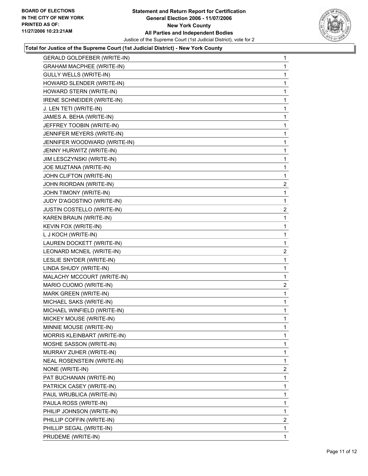

## **Total for Justice of the Supreme Court (1st Judicial District) - New York County**

| <b>GERALD GOLDFEBER (WRITE-IN)</b> | 1                       |
|------------------------------------|-------------------------|
| <b>GRAHAM MACPHEE (WRITE-IN)</b>   | 1                       |
| <b>GULLY WELLS (WRITE-IN)</b>      | 1                       |
| HOWARD SLENDER (WRITE-IN)          | 1                       |
| HOWARD STERN (WRITE-IN)            | 1                       |
| IRENE SCHNEIDER (WRITE-IN)         | 1                       |
| J. LEN TETI (WRITE-IN)             | 1                       |
| JAMES A. BEHA (WRITE-IN)           | 1                       |
| JEFFREY TOOBIN (WRITE-IN)          | 1                       |
| JENNIFER MEYERS (WRITE-IN)         | 1                       |
| JENNIFER WOODWARD (WRITE-IN)       | 1                       |
| JENNY HURWITZ (WRITE-IN)           | 1                       |
| JIM LESCZYNSKI (WRITE-IN)          | 1                       |
| JOE MUZTANA (WRITE-IN)             | 1                       |
| JOHN CLIFTON (WRITE-IN)            | 1                       |
| JOHN RIORDAN (WRITE-IN)            | $\overline{\mathbf{c}}$ |
| JOHN TIMONY (WRITE-IN)             | 1                       |
| JUDY D'AGOSTINO (WRITE-IN)         | $\mathbf 1$             |
| JUSTIN COSTELLO (WRITE-IN)         | $\overline{\mathbf{c}}$ |
| KAREN BRAUN (WRITE-IN)             | 1                       |
| KEVIN FOX (WRITE-IN)               | 1                       |
| L J KOCH (WRITE-IN)                | 1                       |
| LAUREN DOCKETT (WRITE-IN)          | 1                       |
| LEONARD MCNEIL (WRITE-IN)          | $\overline{c}$          |
| LESLIE SNYDER (WRITE-IN)           | 1                       |
| LINDA SHUDY (WRITE-IN)             | 1                       |
| MALACHY MCCOURT (WRITE-IN)         | 1                       |
| MARIO CUOMO (WRITE-IN)             | 2                       |
| MARK GREEN (WRITE-IN)              | 1                       |
| MICHAEL SAKS (WRITE-IN)            | 1                       |
| MICHAEL WINFIELD (WRITE-IN)        | 1                       |
| MICKEY MOUSE (WRITE-IN)            | 1                       |
| MINNIE MOUSE (WRITE-IN)            | 1                       |
| MORRIS KLEINBART (WRITE-IN)        | 1                       |
| MOSHE SASSON (WRITE-IN)            | 1                       |
| MURRAY ZUHER (WRITE-IN)            | 1                       |
| NEAL ROSENSTEIN (WRITE-IN)         | 1                       |
| NONE (WRITE-IN)                    | $\overline{\mathbf{c}}$ |
| PAT BUCHANAN (WRITE-IN)            | 1                       |
| PATRICK CASEY (WRITE-IN)           | 1                       |
| PAUL WRUBLICA (WRITE-IN)           | 1                       |
| PAULA ROSS (WRITE-IN)              | 1                       |
| PHILIP JOHNSON (WRITE-IN)          | 1                       |
| PHILLIP COFFIN (WRITE-IN)          | $\overline{\mathbf{c}}$ |
| PHILLIP SEGAL (WRITE-IN)           | 1                       |
| PRUDEME (WRITE-IN)                 | 1                       |